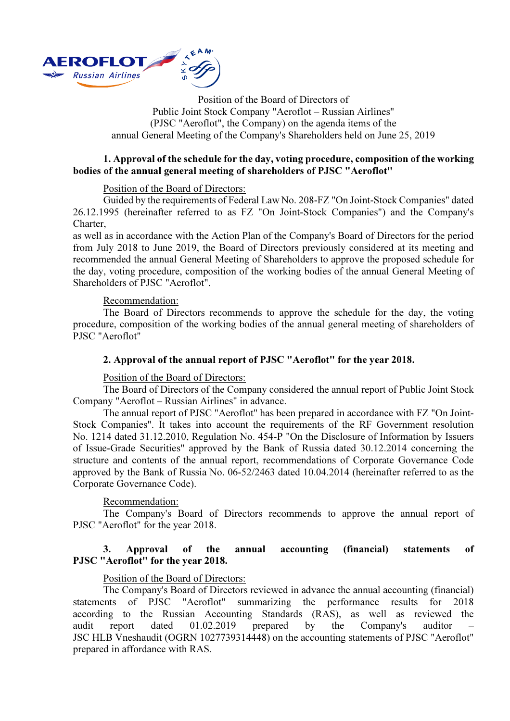

Position of the Board of Directors of Public Joint Stock Company "Aeroflot – Russian Airlines" (PJSC "Aeroflot", the Company) on the agenda items of the annual General Meeting of the Company's Shareholders held on June 25, 2019

# 1. Approval of the schedule for the day, voting procedure, composition of the working bodies of the annual general meeting of shareholders of PJSC "Aeroflot"

## Position of the Board of Directors:

Guided by the requirements of Federal Law No. 208-FZ "On Joint-Stock Companies" dated 26.12.1995 (hereinafter referred to as FZ "On Joint-Stock Companies") and the Company's Charter,

as well as in accordance with the Action Plan of the Company's Board of Directors for the period from July 2018 to June 2019, the Board of Directors previously considered at its meeting and recommended the annual General Meeting of Shareholders to approve the proposed schedule for the day, voting procedure, composition of the working bodies of the annual General Meeting of Shareholders of PJSC "Aeroflot".

## Recommendation:

The Board of Directors recommends to approve the schedule for the day, the voting procedure, composition of the working bodies of the annual general meeting of shareholders of PJSC "Aeroflot"

# 2. Approval of the annual report of PJSC "Aeroflot" for the year 2018.

## Position of the Board of Directors:

The Board of Directors of the Company considered the annual report of Public Joint Stock Company "Aeroflot – Russian Airlines" in advance.

The annual report of PJSC "Aeroflot" has been prepared in accordance with FZ "On Joint-Stock Companies". It takes into account the requirements of the RF Government resolution No. 1214 dated 31.12.2010, Regulation No. 454-P "On the Disclosure of Information by Issuers of Issue-Grade Securities" approved by the Bank of Russia dated 30.12.2014 concerning the structure and contents of the annual report, recommendations of Corporate Governance Code approved by the Bank of Russia No. 06-52/2463 dated 10.04.2014 (hereinafter referred to as the Corporate Governance Code).

## Recommendation:

The Company's Board of Directors recommends to approve the annual report of PJSC "Aeroflot" for the year 2018.

# 3. Approval of the annual accounting (financial) statements of PJSC "Aeroflot" for the year 2018.

# Position of the Board of Directors:

The Company's Board of Directors reviewed in advance the annual accounting (financial) statements of PJSC "Aeroflot" summarizing the performance results for 2018 according to the Russian Accounting Standards (RAS), as well as reviewed the audit report dated 01.02.2019 prepared by the Company's auditor JSC HLB Vneshaudit (OGRN 1027739314448) on the accounting statements of PJSC "Aeroflot" prepared in affordance with RAS.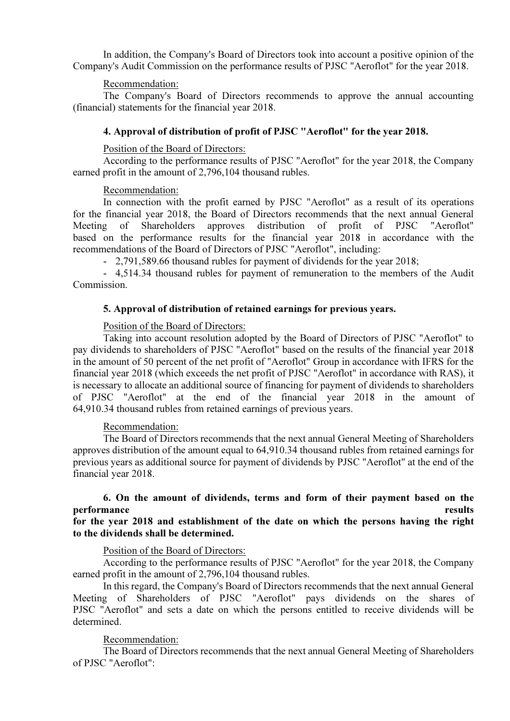In addition, the Company's Board of Directors took into account a positive opinion of the Company's Audit Commission on the performance results of PJSC "Aeroflot" for the year 2018.

#### Recommendation:

The Company's Board of Directors recommends to approve the annual accounting (financial) statements for the financial year 2018.

### 4. Approval of distribution of profit of PJSC "Aeroflot" for the year 2018.

#### Position of the Board of Directors:

According to the performance results of PJSC "Aeroflot" for the year 2018, the Company earned profit in the amount of 2,796,104 thousand rubles.

#### Recommendation:

In connection with the profit earned by PJSC "Aeroflot" as a result of its operations for the financial year 2018, the Board of Directors recommends that the next annual General Meeting of Shareholders approves distribution of profit of PJSC "Aeroflot" based on the performance results for the financial year 2018 in accordance with the recommendations of the Board of Directors of PJSC "Aeroflot", including:

- 2,791,589.66 thousand rubles for payment of dividends for the year 2018;

- 4,514.34 thousand rubles for payment of remuneration to the members of the Audit Commission.

#### 5. Approval of distribution of retained earnings for previous years.

#### Position of the Board of Directors:

Taking into account resolution adopted by the Board of Directors of PJSC "Aeroflot" to pay dividends to shareholders of PJSC "Aeroflot" based on the results of the financial year 2018 in the amount of 50 percent of the net profit of "Aeroflot" Group in accordance with IFRS for the financial year 2018 (which exceeds the net profit of PJSC "Aeroflot" in accordance with RAS), it is necessary to allocate an additional source of financing for payment of dividends to shareholders of PJSC "Aeroflot" at the end of the financial year 2018 in the amount of 64,910.34 thousand rubles from retained earnings of previous years.

#### Recommendation:

The Board of Directors recommends that the next annual General Meeting of Shareholders approves distribution of the amount equal to 64,910.34 thousand rubles from retained earnings for previous years as additional source for payment of dividends by PJSC "Aeroflot" at the end of the financial year 2018.

# 6. On the amount of dividends, terms and form of their payment based on the performance results

# for the year 2018 and establishment of the date on which the persons having the right to the dividends shall be determined.

#### Position of the Board of Directors:

According to the performance results of PJSC "Aeroflot" for the year 2018, the Company earned profit in the amount of 2,796,104 thousand rubles.

In this regard, the Company's Board of Directors recommends that the next annual General Meeting of Shareholders of PJSC "Aeroflot" pays dividends on the shares of PJSC "Aeroflot" and sets a date on which the persons entitled to receive dividends will be determined.

## Recommendation:

The Board of Directors recommends that the next annual General Meeting of Shareholders of PJSC "Aeroflot":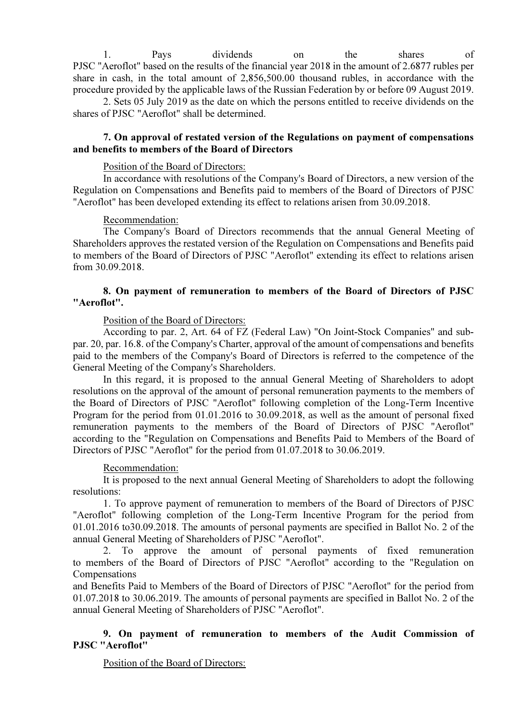1. Pays dividends on the shares of PJSC "Aeroflot" based on the results of the financial year 2018 in the amount of 2.6877 rubles per share in cash, in the total amount of 2,856,500.00 thousand rubles, in accordance with the procedure provided by the applicable laws of the Russian Federation by or before 09 August 2019.

2. Sets 05 July 2019 as the date on which the persons entitled to receive dividends on the shares of PJSC "Aeroflot" shall be determined.

# 7. On approval of restated version of the Regulations on payment of compensations and benefits to members of the Board of Directors

## Position of the Board of Directors:

In accordance with resolutions of the Company's Board of Directors, a new version of the Regulation on Compensations and Benefits paid to members of the Board of Directors of PJSC "Aeroflot" has been developed extending its effect to relations arisen from 30.09.2018.

# Recommendation:

The Company's Board of Directors recommends that the annual General Meeting of Shareholders approves the restated version of the Regulation on Compensations and Benefits paid to members of the Board of Directors of PJSC "Aeroflot" extending its effect to relations arisen from 30.09.2018.

# 8. On payment of remuneration to members of the Board of Directors of PJSC "Aeroflot".

# Position of the Board of Directors:

According to par. 2, Art. 64 of FZ (Federal Law) "On Joint-Stock Companies" and subpar. 20, par. 16.8. of the Company's Charter, approval of the amount of compensations and benefits paid to the members of the Company's Board of Directors is referred to the competence of the General Meeting of the Company's Shareholders.

In this regard, it is proposed to the annual General Meeting of Shareholders to adopt resolutions on the approval of the amount of personal remuneration payments to the members of the Board of Directors of PJSC "Aeroflot" following completion of the Long-Term Incentive Program for the period from 01.01.2016 to 30.09.2018, as well as the amount of personal fixed remuneration payments to the members of the Board of Directors of PJSC "Aeroflot" according to the "Regulation on Compensations and Benefits Paid to Members of the Board of Directors of PJSC "Aeroflot" for the period from 01.07.2018 to 30.06.2019.

# Recommendation:

It is proposed to the next annual General Meeting of Shareholders to adopt the following resolutions:

1. To approve payment of remuneration to members of the Board of Directors of PJSC "Aeroflot" following completion of the Long-Term Incentive Program for the period from 01.01.2016 to30.09.2018. The amounts of personal payments are specified in Ballot No. 2 of the annual General Meeting of Shareholders of PJSC "Aeroflot".

2. To approve the amount of personal payments of fixed remuneration to members of the Board of Directors of PJSC "Aeroflot" according to the "Regulation on Compensations

and Benefits Paid to Members of the Board of Directors of PJSC "Aeroflot" for the period from 01.07.2018 to 30.06.2019. The amounts of personal payments are specified in Ballot No. 2 of the annual General Meeting of Shareholders of PJSC "Aeroflot".

# 9. On payment of remuneration to members of the Audit Commission of PJSC "Aeroflot"

Position of the Board of Directors: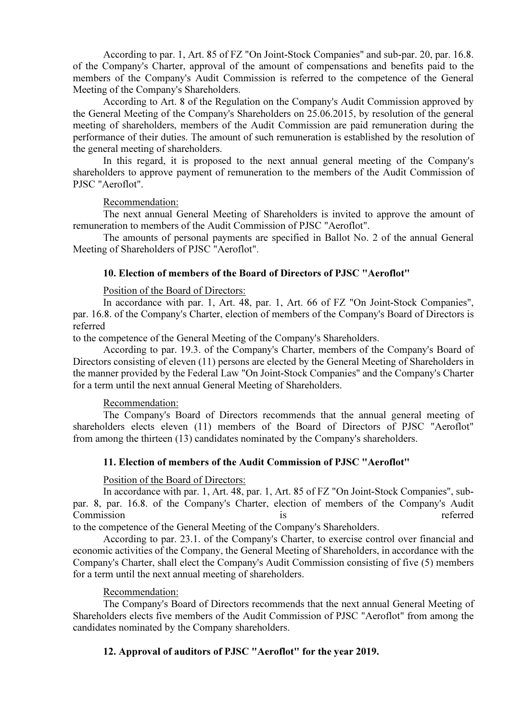According to par. 1, Art. 85 of FZ "On Joint-Stock Companies" and sub-par. 20, par. 16.8. of the Company's Charter, approval of the amount of compensations and benefits paid to the members of the Company's Audit Commission is referred to the competence of the General Meeting of the Company's Shareholders.

According to Art. 8 of the Regulation on the Company's Audit Commission approved by the General Meeting of the Company's Shareholders on 25.06.2015, by resolution of the general meeting of shareholders, members of the Audit Commission are paid remuneration during the performance of their duties. The amount of such remuneration is established by the resolution of the general meeting of shareholders.

In this regard, it is proposed to the next annual general meeting of the Company's shareholders to approve payment of remuneration to the members of the Audit Commission of PJSC "Aeroflot".

## Recommendation:

The next annual General Meeting of Shareholders is invited to approve the amount of remuneration to members of the Audit Commission of PJSC "Aeroflot".

The amounts of personal payments are specified in Ballot No. 2 of the annual General Meeting of Shareholders of PJSC "Aeroflot".

## 10. Election of members of the Board of Directors of PJSC "Aeroflot"

Position of the Board of Directors:

In accordance with par. 1, Art. 48, par. 1, Art. 66 of FZ "On Joint-Stock Companies", par. 16.8. of the Company's Charter, election of members of the Company's Board of Directors is referred

to the competence of the General Meeting of the Company's Shareholders.

According to par. 19.3. of the Company's Charter, members of the Company's Board of Directors consisting of eleven (11) persons are elected by the General Meeting of Shareholders in the manner provided by the Federal Law "On Joint-Stock Companies" and the Company's Charter for a term until the next annual General Meeting of Shareholders.

#### Recommendation:

The Company's Board of Directors recommends that the annual general meeting of shareholders elects eleven (11) members of the Board of Directors of PJSC "Aeroflot" from among the thirteen (13) candidates nominated by the Company's shareholders.

## 11. Election of members of the Audit Commission of PJSC "Aeroflot"

#### Position of the Board of Directors:

In accordance with par. 1, Art. 48, par. 1, Art. 85 of FZ "On Joint-Stock Companies", subpar. 8, par. 16.8. of the Company's Charter, election of members of the Company's Audit Commission is referred

to the competence of the General Meeting of the Company's Shareholders.

According to par. 23.1. of the Company's Charter, to exercise control over financial and economic activities of the Company, the General Meeting of Shareholders, in accordance with the Company's Charter, shall elect the Company's Audit Commission consisting of five (5) members for a term until the next annual meeting of shareholders.

## Recommendation:

The Company's Board of Directors recommends that the next annual General Meeting of Shareholders elects five members of the Audit Commission of PJSC "Aeroflot" from among the candidates nominated by the Company shareholders.

# 12. Approval of auditors of PJSC "Aeroflot" for the year 2019.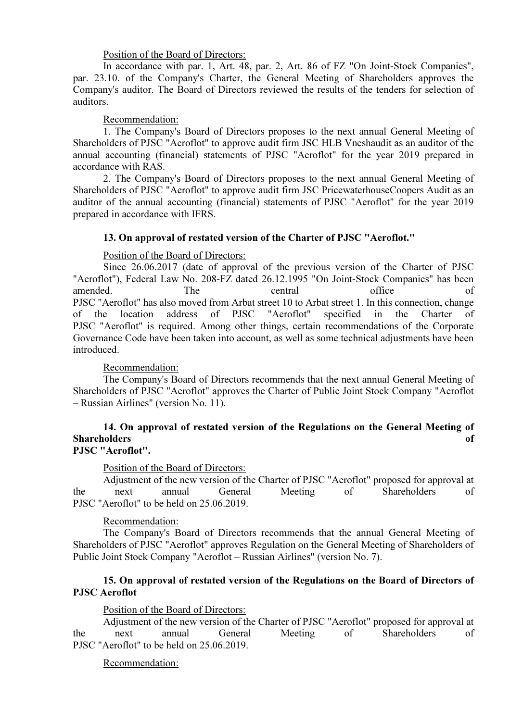Position of the Board of Directors:

In accordance with par. 1, Art. 48, par. 2, Art. 86 of FZ "On Joint-Stock Companies", par. 23.10. of the Company's Charter, the General Meeting of Shareholders approves the Company's auditor. The Board of Directors reviewed the results of the tenders for selection of auditors.

# Recommendation:

1. The Company's Board of Directors proposes to the next annual General Meeting of Shareholders of PJSC "Aeroflot" to approve audit firm JSC HLB Vneshaudit as an auditor of the annual accounting (financial) statements of PJSC "Aeroflot" for the year 2019 prepared in accordance with RAS.

2. The Company's Board of Directors proposes to the next annual General Meeting of Shareholders of PJSC "Aeroflot" to approve audit firm JSC PricewaterhouseCoopers Audit as an auditor of the annual accounting (financial) statements of PJSC "Aeroflot" for the year 2019 prepared in accordance with IFRS.

# 13. On approval of restated version of the Charter of PJSC "Aeroflot."

# Position of the Board of Directors:

Since 26.06.2017 (date of approval of the previous version of the Charter of PJSC "Aeroflot"), Federal Law No. 208-FZ dated 26.12.1995 "On Joint-Stock Companies" has been amended. The central office of PJSC "Aeroflot" has also moved from Arbat street 10 to Arbat street 1. In this connection, change of the location address of PJSC "Aeroflot" specified in the Charter of PJSC "Aeroflot" is required. Among other things, certain recommendations of the Corporate Governance Code have been taken into account, as well as some technical adjustments have been introduced.

# Recommendation:

The Company's Board of Directors recommends that the next annual General Meeting of Shareholders of PJSC "Aeroflot" approves the Charter of Public Joint Stock Company "Aeroflot – Russian Airlines" (version No. 11).

#### 14. On approval of restated version of the Regulations on the General Meeting of Shareholders of the state of the state of the state of the state of the state of the state of the state of the state of the state of the state of the state of the state of the state of the state of the state of the state o PJSC "Aeroflot".

# Position of the Board of Directors:

Adjustment of the new version of the Charter of PJSC "Aeroflot" proposed for approval at the next annual General Meeting of Shareholders of PJSC "Aeroflot" to be held on 25.06.2019.

# Recommendation:

The Company's Board of Directors recommends that the annual General Meeting of Shareholders of PJSC "Aeroflot" approves Regulation on the General Meeting of Shareholders of Public Joint Stock Company "Aeroflot – Russian Airlines" (version No. 7).

# 15. On approval of restated version of the Regulations on the Board of Directors of PJSC Aeroflot

## Position of the Board of Directors:

Adjustment of the new version of the Charter of PJSC "Aeroflot" proposed for approval at the next annual General Meeting of Shareholders of PJSC "Aeroflot" to be held on 25.06.2019.

## Recommendation: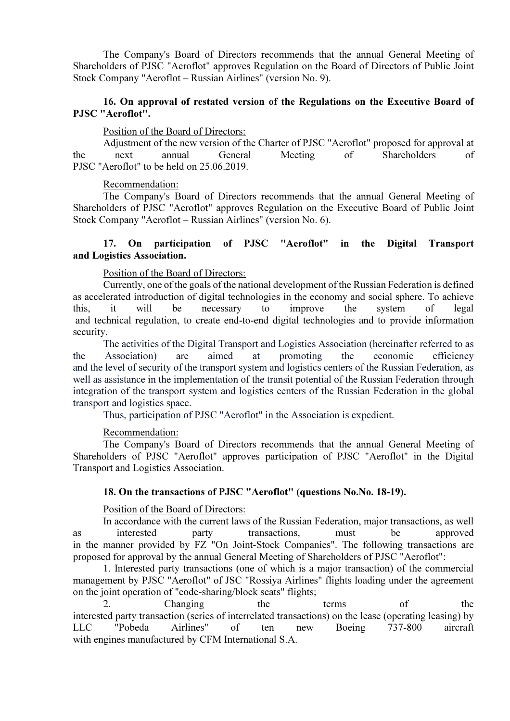The Company's Board of Directors recommends that the annual General Meeting of Shareholders of PJSC "Aeroflot" approves Regulation on the Board of Directors of Public Joint Stock Company "Aeroflot – Russian Airlines" (version No. 9).

# 16. On approval of restated version of the Regulations on the Executive Board of PJSC "Aeroflot".

### Position of the Board of Directors:

Adjustment of the new version of the Charter of PJSC "Aeroflot" proposed for approval at the next annual General Meeting of Shareholders of PJSC "Aeroflot" to be held on 25.06.2019.

#### Recommendation:

The Company's Board of Directors recommends that the annual General Meeting of Shareholders of PJSC "Aeroflot" approves Regulation on the Executive Board of Public Joint Stock Company "Aeroflot – Russian Airlines" (version No. 6).

# 17. On participation of PJSC "Aeroflot" in the Digital Transport and Logistics Association.

## Position of the Board of Directors:

Currently, one of the goals of the national development of the Russian Federation is defined as accelerated introduction of digital technologies in the economy and social sphere. To achieve this, it will be necessary to improve the system of legal and technical regulation, to create end-to-end digital technologies and to provide information security.

The activities of the Digital Transport and Logistics Association (hereinafter referred to as the Association) are aimed at promoting the economic efficiency and the level of security of the transport system and logistics centers of the Russian Federation, as well as assistance in the implementation of the transit potential of the Russian Federation through integration of the transport system and logistics centers of the Russian Federation in the global transport and logistics space.

Thus, participation of PJSC "Aeroflot" in the Association is expedient.

## Recommendation:

The Company's Board of Directors recommends that the annual General Meeting of Shareholders of PJSC "Aeroflot" approves participation of PJSC "Aeroflot" in the Digital Transport and Logistics Association.

### 18. On the transactions of PJSC "Aeroflot" (questions No.No. 18-19).

#### Position of the Board of Directors:

In accordance with the current laws of the Russian Federation, major transactions, as well as interested party transactions, must be approved in the manner provided by FZ "On Joint-Stock Companies". The following transactions are proposed for approval by the annual General Meeting of Shareholders of PJSC "Aeroflot":

1. Interested party transactions (one of which is a major transaction) of the commercial management by PJSC "Aeroflot" of JSC "Rossiya Airlines" flights loading under the agreement on the joint operation of "code-sharing/block seats" flights;

2. Changing the terms of the interested party transaction (series of interrelated transactions) on the lease (operating leasing) by LLC "Pobeda Airlines" of ten new Boeing 737-800 aircraft with engines manufactured by CFM International S.A.